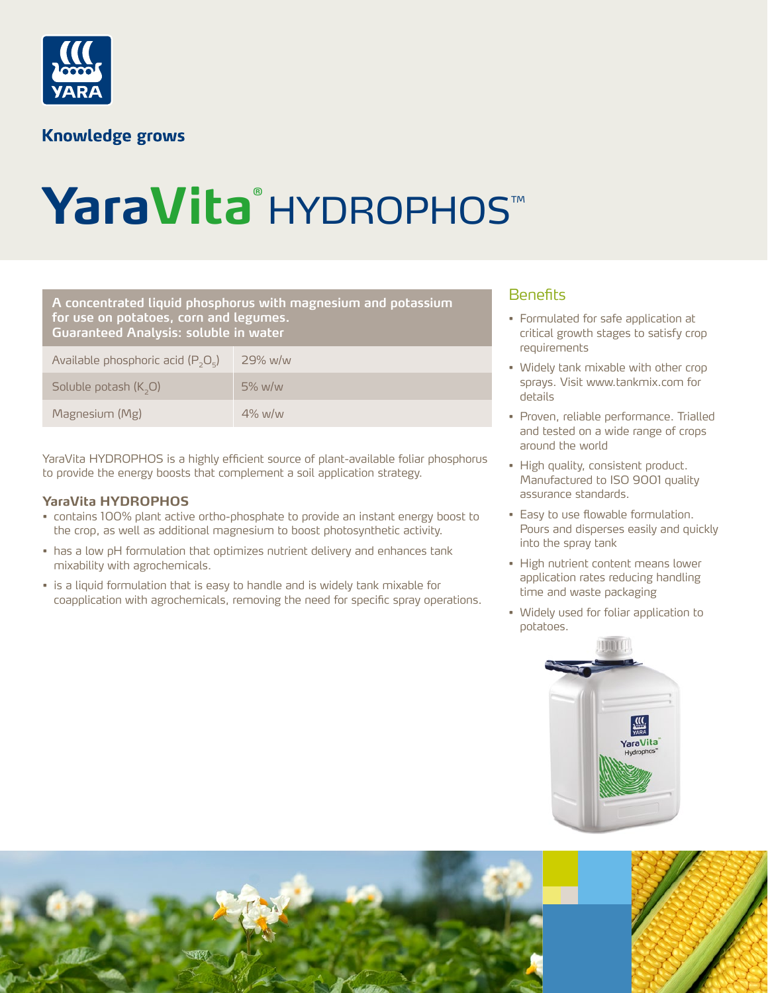

### **Knowledge grows**

# YaraVita® HYDROPHOS™

#### Benefits **A concentrated liquid phosphorus with magnesium and potassium for use on potatoes, corn and legumes. Guaranteed Analysis: soluble in water**

| Available phosphoric acid $(P_2O_5)$ | 29% w/w   |
|--------------------------------------|-----------|
| Soluble potash $(K, O)$              | $5\%$ w/w |
| Magnesium (Mg)                       | $4\%$ w/w |

YaraVita HYDROPHOS is a highly efficient source of plant-available foliar phosphorus to provide the energy boosts that complement a soil application strategy.

#### **YaraVita HYDROPHOS**

- contains 100% plant active ortho-phosphate to provide an instant energy boost to the crop, as well as additional magnesium to boost photosynthetic activity.
- has a low pH formulation that optimizes nutrient delivery and enhances tank mixability with agrochemicals.
- is a liquid formulation that is easy to handle and is widely tank mixable for coapplication with agrochemicals, removing the need for specific spray operations.

- Formulated for safe application at critical growth stages to satisfy crop requirements
- Widely tank mixable with other crop sprays. Visit www.tankmix.com for details
- Proven, reliable performance. Trialled and tested on a wide range of crops around the world
- High quality, consistent product. Manufactured to ISO 9001 quality assurance standards.
- Easy to use flowable formulation. Pours and disperses easily and quickly into the spray tank
- High nutrient content means lower application rates reducing handling time and waste packaging
- Widely used for foliar application to potatoes.